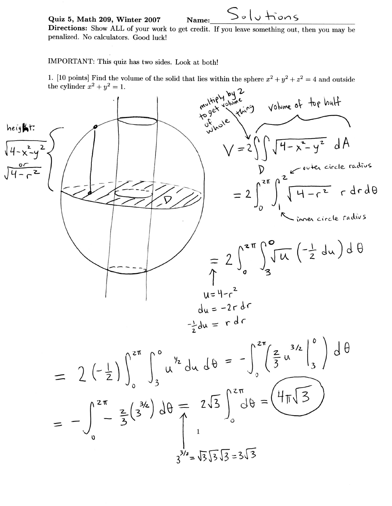Quiz 5, Math 209, Winter 2007

 $Solu$ tions Name:

Directions: Show ALL of your work to get credit. If you leave something out, then you may be penalized. No calculators. Good luck!

IMPORTANT: This quiz has two sides. Look at both!

1. [10 points] Find the volume of the solid that lies within the sphere  $x^2 + y^2 + z^2 = 4$  and outside the cylinder  $x^2 + y^2 = 1$ .



$$
= 2\left(-\frac{1}{2}\right)\int_{0}^{2\pi} \int_{3}^{0} u^{\frac{1}{2}} du d\theta = -\int_{0}^{2\pi} \left(\frac{2}{3}u^{\frac{3}{2}}\right) d\theta
$$

$$
= -\int_{0}^{2\pi} -\frac{2}{3} \left(\frac{3}{2}\right) d\theta = 2\sqrt{3} \int_{0}^{2\pi} d\theta = \left(\frac{4\pi\sqrt{3}}{3}\right)
$$

$$
\int_{3^{3/2}=\sqrt{3}\sqrt{3}}^{2\pi} \sqrt{3} \left(\frac{1}{2}\right) d\theta = \left(\frac{4\pi\sqrt{3}}{3}\right)
$$